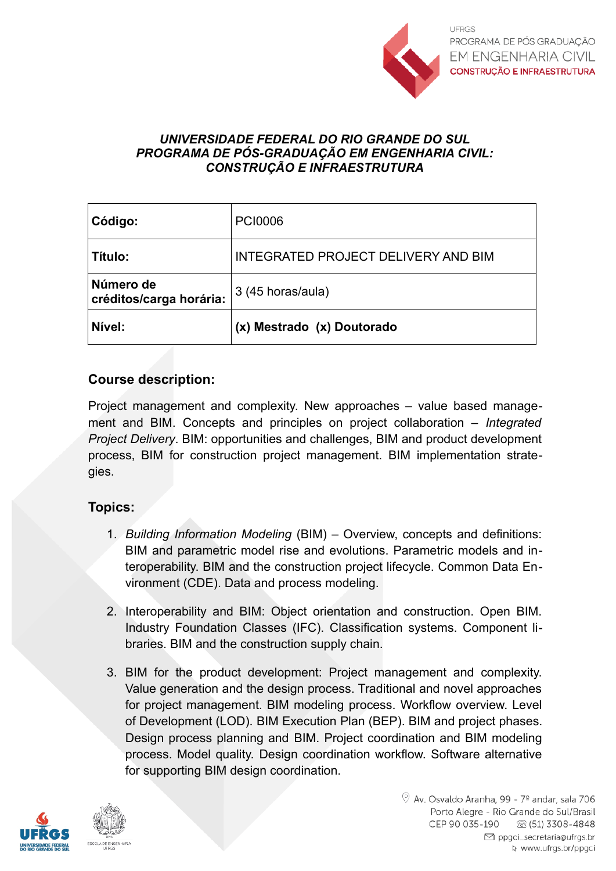

#### *UNIVERSIDADE FEDERAL DO RIO GRANDE DO SUL PROGRAMA DE PÓS-GRADUAÇÃO EM ENGENHARIA CIVIL: CONSTRUÇÃO E INFRAESTRUTURA*

| Código:                              | <b>PCI0006</b>                             |
|--------------------------------------|--------------------------------------------|
| Título:                              | <b>INTEGRATED PROJECT DELIVERY AND BIM</b> |
| Número de<br>créditos/carga horária: | 3 (45 horas/aula)                          |
| Nível:                               | (x) Mestrado (x) Doutorado                 |

## **Course description:**

Project management and complexity. New approaches – value based management and BIM. Concepts and principles on project collaboration – *Integrated Project Delivery*. BIM: opportunities and challenges, BIM and product development process, BIM for construction project management. BIM implementation strategies.

## **Topics:**

- 1. *Building Information Modeling* (BIM) Overview, concepts and definitions: BIM and parametric model rise and evolutions. Parametric models and interoperability. BIM and the construction project lifecycle. Common Data Environment (CDE). Data and process modeling.
- 2. Interoperability and BIM: Object orientation and construction. Open BIM. Industry Foundation Classes (IFC). Classification systems. Component libraries. BIM and the construction supply chain.
- 3. BIM for the product development: Project management and complexity. Value generation and the design process. Traditional and novel approaches for project management. BIM modeling process. Workflow overview. Level of Development (LOD). BIM Execution Plan (BEP). BIM and project phases. Design process planning and BIM. Project coordination and BIM modeling process. Model quality. Design coordination workflow. Software alternative for supporting BIM design coordination.

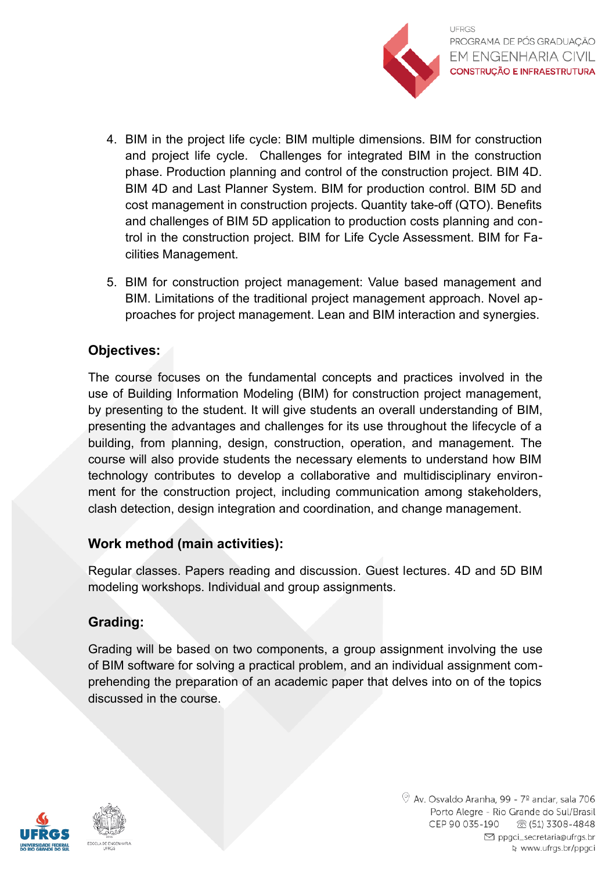

- 4. BIM in the project life cycle: BIM multiple dimensions. BIM for construction and project life cycle. Challenges for integrated BIM in the construction phase. Production planning and control of the construction project. BIM 4D. BIM 4D and Last Planner System. BIM for production control. BIM 5D and cost management in construction projects. Quantity take-off (QTO). Benefits and challenges of BIM 5D application to production costs planning and control in the construction project. BIM for Life Cycle Assessment. BIM for Facilities Management.
- 5. BIM for construction project management: Value based management and BIM. Limitations of the traditional project management approach. Novel approaches for project management. Lean and BIM interaction and synergies.

## **Objectives:**

The course focuses on the fundamental concepts and practices involved in the use of Building Information Modeling (BIM) for construction project management, by presenting to the student. It will give students an overall understanding of BIM, presenting the advantages and challenges for its use throughout the lifecycle of a building, from planning, design, construction, operation, and management. The course will also provide students the necessary elements to understand how BIM technology contributes to develop a collaborative and multidisciplinary environment for the construction project, including communication among stakeholders, clash detection, design integration and coordination, and change management.

# **Work method (main activities):**

Regular classes. Papers reading and discussion. Guest lectures. 4D and 5D BIM modeling workshops. Individual and group assignments.

# **Grading:**

Grading will be based on two components, a group assignment involving the use of BIM software for solving a practical problem, and an individual assignment comprehending the preparation of an academic paper that delves into on of the topics discussed in the course.

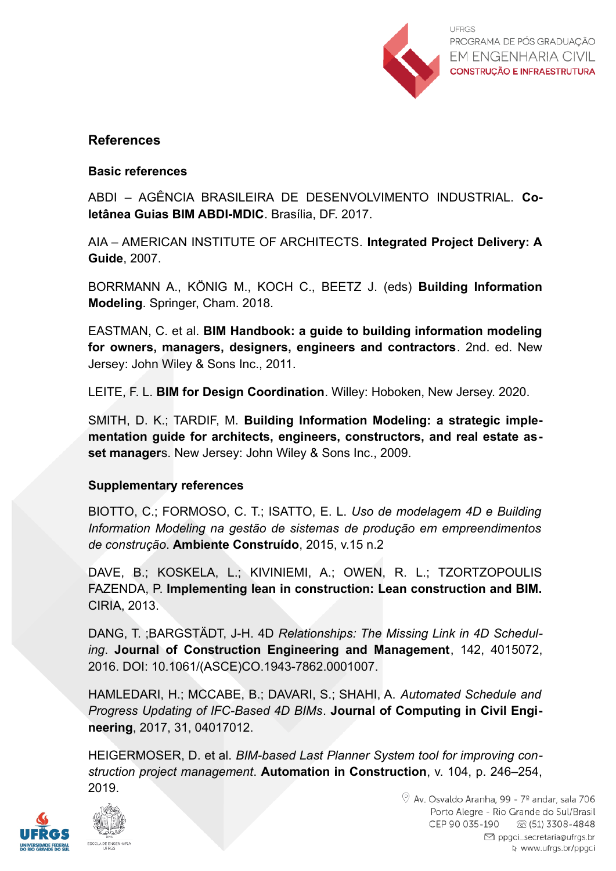

## **References**

### **Basic references**

ABDI – AGÊNCIA BRASILEIRA DE DESENVOLVIMENTO INDUSTRIAL. **Coletânea Guias BIM ABDI-MDIC**. Brasília, DF. 2017.

AIA – AMERICAN INSTITUTE OF ARCHITECTS. **Integrated Project Delivery: A Guide**, 2007.

BORRMANN A., KÖNIG M., KOCH C., BEETZ J. (eds) **Building Information Modeling**. Springer, Cham. 2018.

EASTMAN, C. et al. **BIM Handbook: a guide to building information modeling for owners, managers, designers, engineers and contractors**. 2nd. ed. New Jersey: John Wiley & Sons Inc., 2011.

LEITE, F. L. **BIM for Design Coordination**. Willey: Hoboken, New Jersey. 2020.

SMITH, D. K.; TARDIF, M. **Building Information Modeling: a strategic implementation guide for architects, engineers, constructors, and real estate asset manager**s. New Jersey: John Wiley & Sons Inc., 2009.

#### **Supplementary references**

BIOTTO, C.; FORMOSO, C. T.; ISATTO, E. L. *Uso de modelagem 4D e Building Information Modeling na gestão de sistemas de produção em empreendimentos de construção*. **Ambiente Construído**, 2015, v.15 n.2

DAVE, B.; KOSKELA, L.; KIVINIEMI, A.; OWEN, R. L.; TZORTZOPOULIS FAZENDA, P. **Implementing lean in construction: Lean construction and BIM.** CIRIA, 2013.

DANG, T. ;BARGSTÄDT, J-H. 4D *Relationships: The Missing Link in 4D Scheduling*. **Journal of Construction Engineering and Management**, 142, 4015072, 2016. DOI: 10.1061/(ASCE)CO.1943-7862.0001007.

HAMLEDARI, H.; MCCABE, B.; DAVARI, S.; SHAHI, A. *Automated Schedule and Progress Updating of IFC-Based 4D BIMs*. **Journal of Computing in Civil Engineering**, 2017, 31, 04017012.

HEIGERMOSER, D. et al. *BIM-based Last Planner System tool for improving construction project management*. **Automation in Construction**, v. 104, p. 246–254, 2019.